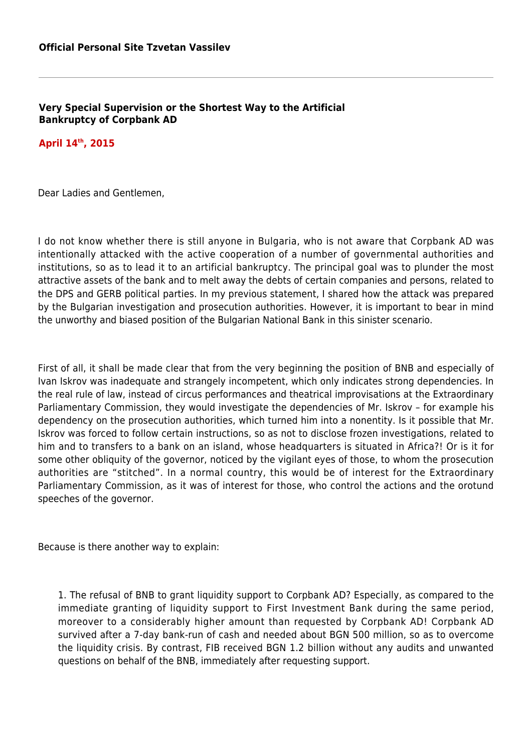**Very Special Supervision or the Shortest Way to the Artificial Bankruptcy of Corpbank AD** 

## **April 14th, 2015**

Dear Ladies and Gentlemen,

I do not know whether there is still anyone in Bulgaria, who is not aware that Corpbank AD was intentionally attacked with the active cooperation of a number of governmental authorities and institutions, so as to lead it to an artificial bankruptcy. The principal goal was to plunder the most attractive assets of the bank and to melt away the debts of certain companies and persons, related to the DPS and GERB political parties. In my previous statement, I shared how the attack was prepared by the Bulgarian investigation and prosecution authorities. However, it is important to bear in mind the unworthy and biased position of the Bulgarian National Bank in this sinister scenario.

First of all, it shall be made clear that from the very beginning the position of BNB and especially of Ivan Iskrov was inadequate and strangely incompetent, which only indicates strong dependencies. In the real rule of law, instead of circus performances and theatrical improvisations at the Extraordinary Parliamentary Commission, they would investigate the dependencies of Mr. Iskrov – for example his dependency on the prosecution authorities, which turned him into a nonentity. Is it possible that Mr. Iskrov was forced to follow certain instructions, so as not to disclose frozen investigations, related to him and to transfers to a bank on an island, whose headquarters is situated in Africa?! Or is it for some other obliquity of the governor, noticed by the vigilant eyes of those, to whom the prosecution authorities are "stitched". In a normal country, this would be of interest for the Extraordinary Parliamentary Commission, as it was of interest for those, who control the actions and the orotund speeches of the governor.

Because is there another way to explain:

1. The refusal of BNB to grant liquidity support to Corpbank AD? Especially, as compared to the immediate granting of liquidity support to First Investment Bank during the same period, moreover to a considerably higher amount than requested by Corpbank AD! Corpbank AD survived after a 7-day bank-run of cash and needed about BGN 500 million, so as to overcome the liquidity crisis. By contrast, FIB received BGN 1.2 billion without any audits and unwanted questions on behalf of the BNB, immediately after requesting support.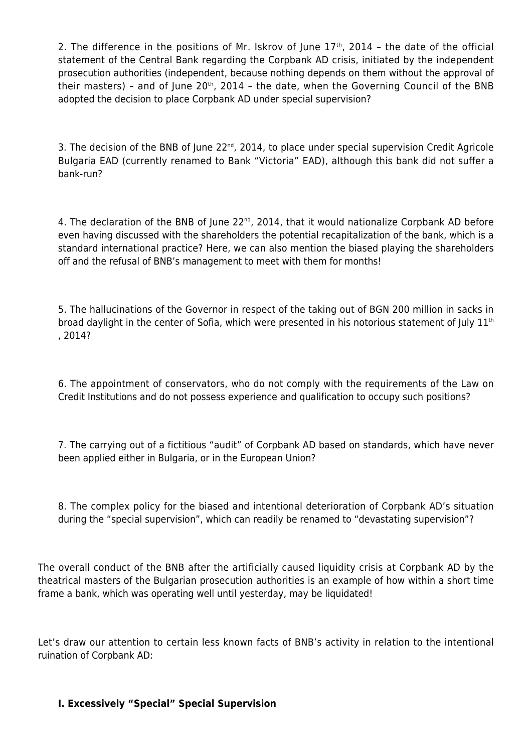2. The difference in the positions of Mr. Iskrov of June  $17<sup>th</sup>$ , 2014 - the date of the official statement of the Central Bank regarding the Corpbank AD crisis, initiated by the independent prosecution authorities (independent, because nothing depends on them without the approval of their masters) - and of June 20<sup>th</sup>, 2014 - the date, when the Governing Council of the BNB adopted the decision to place Corpbank AD under special supervision?

3. The decision of the BNB of June 22<sup>nd</sup>, 2014, to place under special supervision Credit Agricole Bulgaria EAD (currently renamed to Bank "Victoria" EAD), although this bank did not suffer a bank-run?

4. The declaration of the BNB of June  $22^{nd}$ , 2014, that it would nationalize Corpbank AD before even having discussed with the shareholders the potential recapitalization of the bank, which is a standard international practice? Here, we can also mention the biased playing the shareholders off and the refusal of BNB's management to meet with them for months!

5. The hallucinations of the Governor in respect of the taking out of BGN 200 million in sacks in broad daylight in the center of Sofia, which were presented in his notorious statement of July 11<sup>th</sup> , 2014?

6. The appointment of conservators, who do not comply with the requirements of the Law on Credit Institutions and do not possess experience and qualification to occupy such positions?

7. The carrying out of a fictitious "audit" of Corpbank AD based on standards, which have never been applied either in Bulgaria, or in the European Union?

8. The complex policy for the biased and intentional deterioration of Corpbank AD's situation during the "special supervision", which can readily be renamed to "devastating supervision"?

The overall conduct of the BNB after the artificially caused liquidity crisis at Corpbank AD by the theatrical masters of the Bulgarian prosecution authorities is an example of how within a short time frame a bank, which was operating well until yesterday, may be liquidated!

Let's draw our attention to certain less known facts of BNB's activity in relation to the intentional ruination of Corpbank AD:

## **I. Excessively "Special" Special Supervision**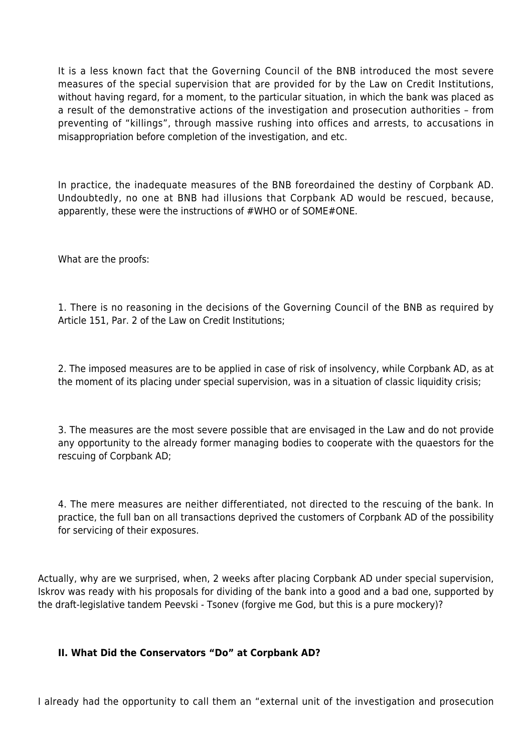It is a less known fact that the Governing Council of the BNB introduced the most severe measures of the special supervision that are provided for by the Law on Credit Institutions, without having regard, for a moment, to the particular situation, in which the bank was placed as a result of the demonstrative actions of the investigation and prosecution authorities – from preventing of "killings", through massive rushing into offices and arrests, to accusations in misappropriation before completion of the investigation, and etc.

In practice, the inadequate measures of the BNB foreordained the destiny of Corpbank AD. Undoubtedly, no one at BNB had illusions that Corpbank AD would be rescued, because, apparently, these were the instructions of #WHO or of SOME#ONE.

What are the proofs:

1. There is no reasoning in the decisions of the Governing Council of the BNB as required by Article 151, Par. 2 of the Law on Credit Institutions;

2. The imposed measures are to be applied in case of risk of insolvency, while Corpbank AD, as at the moment of its placing under special supervision, was in a situation of classic liquidity crisis;

3. The measures are the most severe possible that are envisaged in the Law and do not provide any opportunity to the already former managing bodies to cooperate with the quaestors for the rescuing of Corpbank AD;

4. The mere measures are neither differentiated, not directed to the rescuing of the bank. In practice, the full ban on all transactions deprived the customers of Corpbank AD of the possibility for servicing of their exposures.

Actually, why are we surprised, when, 2 weeks after placing Corpbank AD under special supervision, Iskrov was ready with his proposals for dividing of the bank into a good and a bad one, supported by the draft-legislative tandem Peevski - Tsonev (forgive me God, but this is a pure mockery)?

## **II. What Did the Conservators "Do" at Corpbank AD?**

I already had the opportunity to call them an "external unit of the investigation and prosecution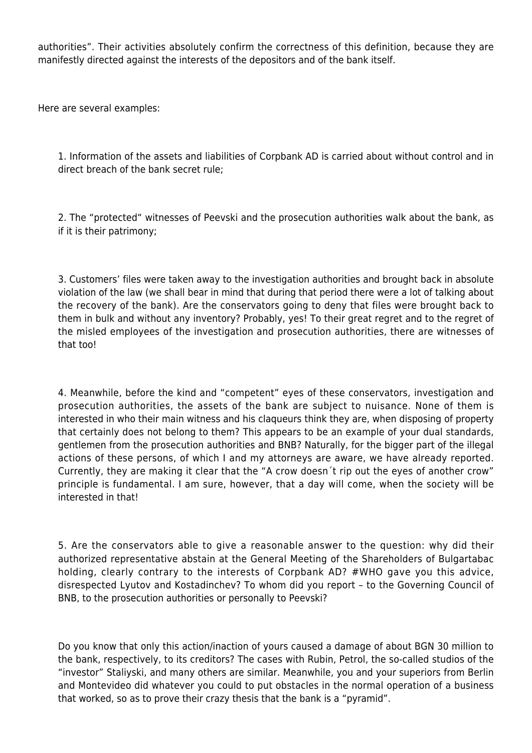authorities". Their activities absolutely confirm the correctness of this definition, because they are manifestly directed against the interests of the depositors and of the bank itself.

Here are several examples:

1. Information of the assets and liabilities of Corpbank AD is carried about without control and in direct breach of the bank secret rule;

2. The "protected" witnesses of Peevski and the prosecution authorities walk about the bank, as if it is their patrimony;

3. Customers' files were taken away to the investigation authorities and brought back in absolute violation of the law (we shall bear in mind that during that period there were a lot of talking about the recovery of the bank). Are the conservators going to deny that files were brought back to them in bulk and without any inventory? Probably, yes! To their great regret and to the regret of the misled employees of the investigation and prosecution authorities, there are witnesses of that too!

4. Meanwhile, before the kind and "competent" eyes of these conservators, investigation and prosecution authorities, the assets of the bank are subject to nuisance. None of them is interested in who their main witness and his claqueurs think they are, when disposing of property that certainly does not belong to them? This appears to be an example of your dual standards, gentlemen from the prosecution authorities and BNB? Naturally, for the bigger part of the illegal actions of these persons, of which I and my attorneys are aware, we have already reported. Currently, they are making it clear that the "A crow doesn´t rip out the eyes of another crow" principle is fundamental. I am sure, however, that a day will come, when the society will be interested in that!

5. Are the conservators able to give a reasonable answer to the question: why did their authorized representative abstain at the General Meeting of the Shareholders of Bulgartabac holding, clearly contrary to the interests of Corpbank AD? #WHO gave you this advice, disrespected Lyutov and Kostadinchev? To whom did you report – to the Governing Council of BNB, to the prosecution authorities or personally to Peevski?

Do you know that only this action/inaction of yours caused a damage of about BGN 30 million to the bank, respectively, to its creditors? The cases with Rubin, Petrol, the so-called studios of the "investor" Staliyski, and many others are similar. Meanwhile, you and your superiors from Berlin and Montevideo did whatever you could to put obstacles in the normal operation of a business that worked, so as to prove their crazy thesis that the bank is a "pyramid".